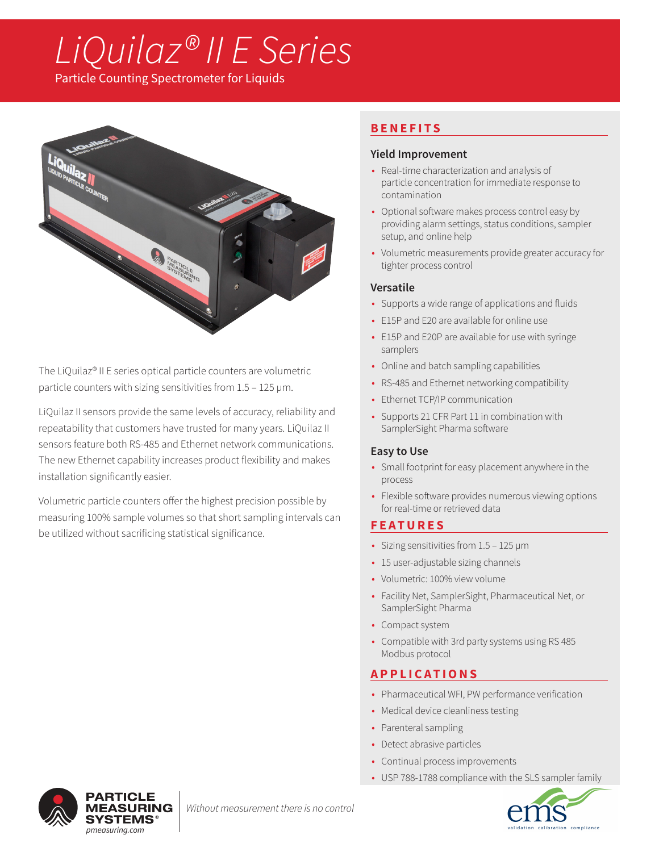# *LiQuilaz® II E Series*

Particle Counting Spectrometer for Liquids



The LiQuilaz® II E series optical particle counters are volumetric particle counters with sizing sensitivities from 1.5 – 125 µm.

LiQuilaz II sensors provide the same levels of accuracy, reliability and repeatability that customers have trusted for many years. LiQuilaz II sensors feature both RS-485 and Ethernet network communications. The new Ethernet capability increases product flexibility and makes installation significantly easier.

Volumetric particle counters offer the highest precision possible by measuring 100% sample volumes so that short sampling intervals can be utilized without sacrificing statistical significance.

# **BENEFITS**

## **Yield Improvement**

- Real-time characterization and analysis of particle concentration for immediate response to contamination
- Optional software makes process control easy by providing alarm settings, status conditions, sampler setup, and online help
- Volumetric measurements provide greater accuracy for tighter process control

### **Versatile**

- Supports a wide range of applications and fluids
- E15P and E20 are available for online use
- E15P and E20P are available for use with syringe samplers
- Online and batch sampling capabilities
- RS-485 and Ethernet networking compatibility
- Ethernet TCP/IP communication
- Supports 21 CFR Part 11 in combination with SamplerSight Pharma software

## **Easy to Use**

- Small footprint for easy placement anywhere in the process
- Flexible software provides numerous viewing options for real-time or retrieved data

## **FEATURES**

- Sizing sensitivities from 1.5 125 µm
- 15 user-adjustable sizing channels
- Volumetric: 100% view volume
- Facility Net, SamplerSight, Pharmaceutical Net, or SamplerSight Pharma
- Compact system
- Compatible with 3rd party systems using RS 485 Modbus protocol

# **APPLICATIONS**

- Pharmaceutical WFI, PW performance verification
- Medical device cleanliness testing
- Parenteral sampling
- Detect abrasive particles
- Continual process improvements
- USP 788-1788 compliance with the SLS sampler family